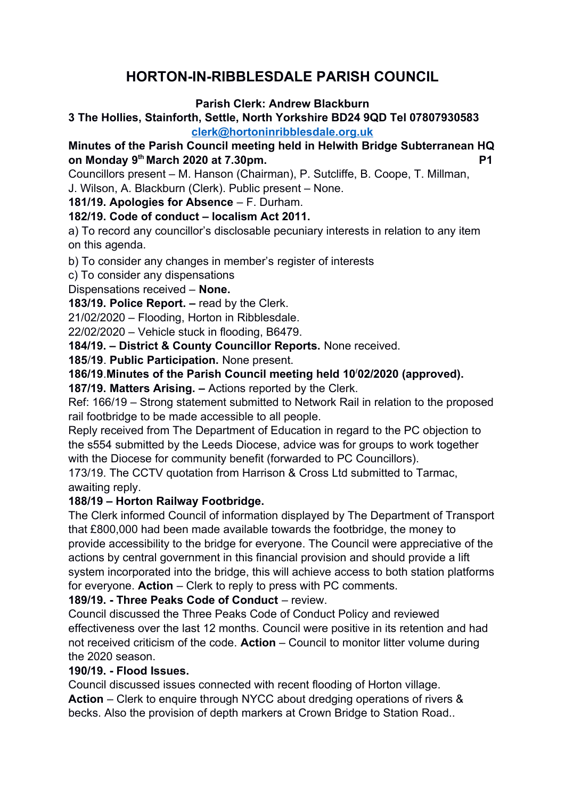# **HORTON-IN-RIBBLESDALE PARISH COUNCIL**

### **Parish Clerk: Andrew Blackburn**

### **3 The Hollies, Stainforth, Settle, North Yorkshire BD24 9QD Tel 07807930583 [clerk@hortoninribblesdale.org.uk](mailto:clerk@hortoninribblesdale.org.uk)**

## **Minutes of the Parish Council meeting held in Helwith Bridge Subterranean HQ on Monday 9 th March 2020 at 7.30pm. P1**

Councillors present – M. Hanson (Chairman), P. Sutcliffe, B. Coope, T. Millman,

J. Wilson, A. Blackburn (Clerk). Public present – None.

**181/19. Apologies for Absence** – F. Durham.

**182/19. Code of conduct – localism Act 2011.**

a) To record any councillor's disclosable pecuniary interests in relation to any item on this agenda.

b) To consider any changes in member's register of interests

c) To consider any dispensations

Dispensations received – **None.** 

**183/19. Police Report. –** read by the Clerk.

21/02/2020 – Flooding, Horton in Ribblesdale.

22/02/2020 – Vehicle stuck in flooding, B6479.

**184/19. – District & County Councillor Reports.** None received.

**185**/**19**. **Public Participation.** None present.

**186/19**.**Minutes of the Parish Council meeting held 10/02/2020 (approved).** 

**187/19. Matters Arising. –** Actions reported by the Clerk.

Ref: 166/19 – Strong statement submitted to Network Rail in relation to the proposed rail footbridge to be made accessible to all people.

Reply received from The Department of Education in regard to the PC objection to the s554 submitted by the Leeds Diocese, advice was for groups to work together with the Diocese for community benefit (forwarded to PC Councillors).

173/19. The CCTV quotation from Harrison & Cross Ltd submitted to Tarmac, awaiting reply.

#### **188/19 – Horton Railway Footbridge.**

The Clerk informed Council of information displayed by The Department of Transport that £800,000 had been made available towards the footbridge, the money to provide accessibility to the bridge for everyone. The Council were appreciative of the actions by central government in this financial provision and should provide a lift system incorporated into the bridge, this will achieve access to both station platforms for everyone. **Action** – Clerk to reply to press with PC comments.

**189/19. - Three Peaks Code of Conduct** – review.

Council discussed the Three Peaks Code of Conduct Policy and reviewed effectiveness over the last 12 months. Council were positive in its retention and had not received criticism of the code. **Action** – Council to monitor litter volume during the 2020 season.

#### **190/19. - Flood Issues.**

Council discussed issues connected with recent flooding of Horton village. **Action** – Clerk to enquire through NYCC about dredging operations of rivers & becks. Also the provision of depth markers at Crown Bridge to Station Road..